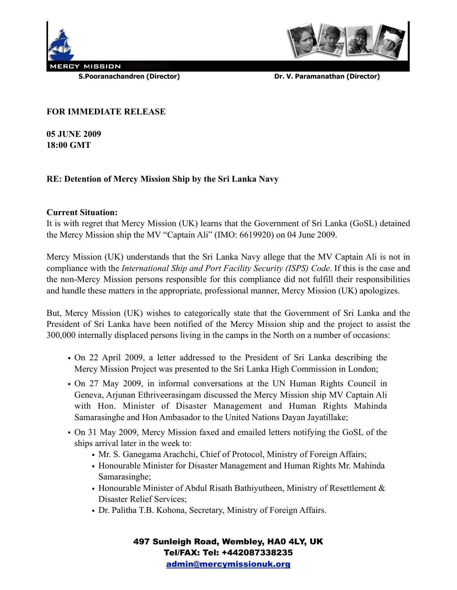



 **S.Pooranachandren (Director) Dr. V. Paramanathan (Director)**

## **FOR IMMEDIATE RELEASE**

**05 JUNE 2009 18:00 GMT**

# **RE: Detention of Mercy Mission Ship by the Sri Lanka Navy**

## **Current Situation:**

It is with regret that Mercy Mission (UK) learns that the Government of Sri Lanka (GoSL) detained the Mercy Mission ship the MV "Captain Ali" (IMO: 6619920) on 04 June 2009.

Mercy Mission (UK) understands that the Sri Lanka Navy allege that the MV Captain Ali is not in compliance with the *International Ship and Port Facility Security (ISPS) Code*. If this is the case and the non-Mercy Mission persons responsible for this compliance did not fulfill their responsibilities and handle these matters in the appropriate, professional manner, Mercy Mission (UK) apologizes.

But, Mercy Mission (UK) wishes to categorically state that the Government of Sri Lanka and the President of Sri Lanka have been notified of the Mercy Mission ship and the project to assist the 300,000 internally displaced persons living in the camps in the North on a number of occasions:

- On 22 April 2009, a letter addressed to the President of Sri Lanka describing the Mercy Mission Project was presented to the Sri Lanka High Commission in London;
- On 27 May 2009, in informal conversations at the UN Human Rights Council in Geneva, Arjunan Ethriveerasingam discussed the Mercy Mission ship MV Captain Ali with Hon. Minister of Disaster Management and Human Rights Mahinda Samarasinghe and Hon Ambasador to the United Nations Dayan Jayatillake;
- On 31 May 2009, Mercy Mission faxed and emailed letters notifying the GoSL of the ships arrival later in the week to:
	- Mr. S. Ganegama Arachchi, Chief of Protocol, Ministry of Foreign Affairs;
	- Honourable Minister for Disaster Management and Human Rights Mr. Mahinda Samarasinghe;
	- Honourable Minister of Abdul Risath Bathiyutheen, Ministry of Resettlement & Disaster Relief Services;
	- Dr. Palitha T.B. Kohona, Secretary, Ministry of Foreign Affairs.

497 Sunleigh Road, Wembley, HA0 4LY, UK Tel/FAX: Tel: +442087338235 [admin@mercymissionuk.org](mailto:admin@mercymissionuk.org)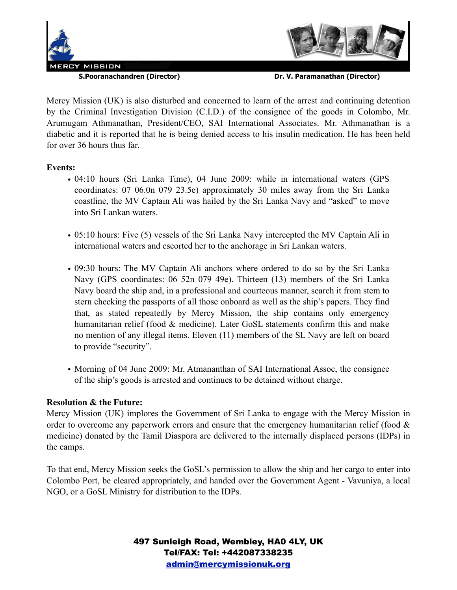



 **S.Pooranachandren (Director) Dr. V. Paramanathan (Director)**

Mercy Mission (UK) is also disturbed and concerned to learn of the arrest and continuing detention by the Criminal Investigation Division (C.I.D.) of the consignee of the goods in Colombo, Mr. Arumugam Athmanathan, President/CEO, SAI International Associates. Mr. Athmanathan is a diabetic and it is reported that he is being denied access to his insulin medication. He has been held for over 36 hours thus far.

## **Events:**

- 04:10 hours (Sri Lanka Time), 04 June 2009: while in international waters (GPS coordinates: 07 06.0n 079 23.5e) approximately 30 miles away from the Sri Lanka coastline, the MV Captain Ali was hailed by the Sri Lanka Navy and "asked" to move into Sri Lankan waters.
- 05:10 hours: Five (5) vessels of the Sri Lanka Navy intercepted the MV Captain Ali in international waters and escorted her to the anchorage in Sri Lankan waters.
- 09:30 hours: The MV Captain Ali anchors where ordered to do so by the Sri Lanka Navy (GPS coordinates: 06 52n 079 49e). Thirteen (13) members of the Sri Lanka Navy board the ship and, in a professional and courteous manner, search it from stem to stern checking the passports of all those onboard as well as the ship's papers. They find that, as stated repeatedly by Mercy Mission, the ship contains only emergency humanitarian relief (food & medicine). Later GoSL statements confirm this and make no mention of any illegal items. Eleven (11) members of the SL Navy are left on board to provide "security".
- Morning of 04 June 2009: Mr. Atmananthan of SAI International Assoc, the consignee of the ship's goods is arrested and continues to be detained without charge.

## **Resolution & the Future:**

Mercy Mission (UK) implores the Government of Sri Lanka to engage with the Mercy Mission in order to overcome any paperwork errors and ensure that the emergency humanitarian relief (food  $\&$ medicine) donated by the Tamil Diaspora are delivered to the internally displaced persons (IDPs) in the camps.

To that end, Mercy Mission seeks the GoSL's permission to allow the ship and her cargo to enter into Colombo Port, be cleared appropriately, and handed over the Government Agent - Vavuniya, a local NGO, or a GoSL Ministry for distribution to the IDPs.

> 497 Sunleigh Road, Wembley, HA0 4LY, UK Tel/FAX: Tel: +442087338235 [admin@mercymissionuk.org](mailto:admin@mercymissionuk.org)